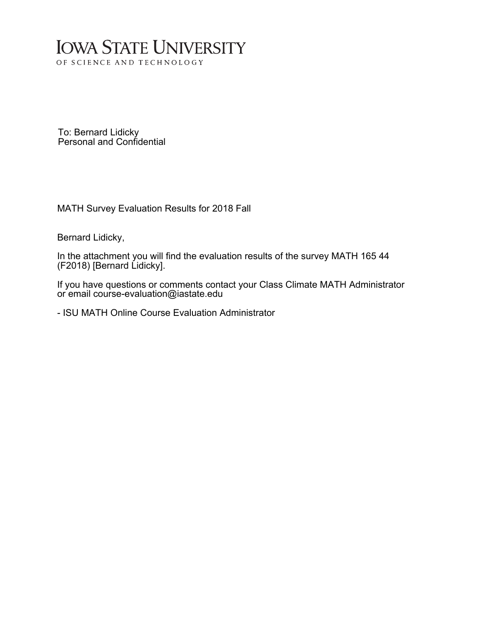## **IOWA STATE UNIVERSITY** OF SCIENCE AND TECHNOLOGY

To: Bernard Lidicky Personal and Confidential

MATH Survey Evaluation Results for 2018 Fall

Bernard Lidicky,

In the attachment you will find the evaluation results of the survey MATH 165 44 (F2018) [Bernard Lidicky].

If you have questions or comments contact your Class Climate MATH Administrator or email course-evaluation@iastate.edu

- ISU MATH Online Course Evaluation Administrator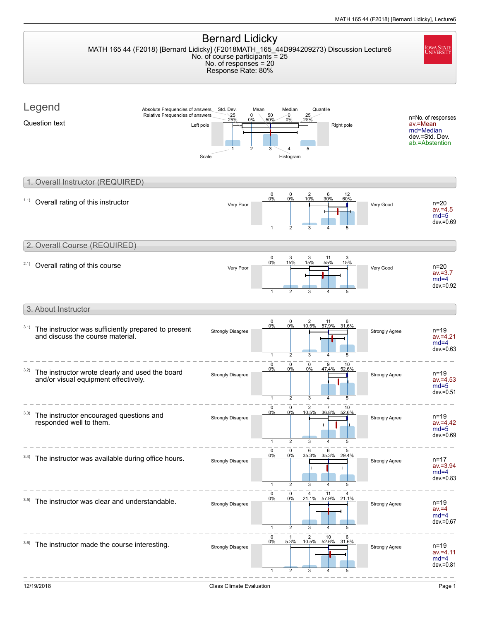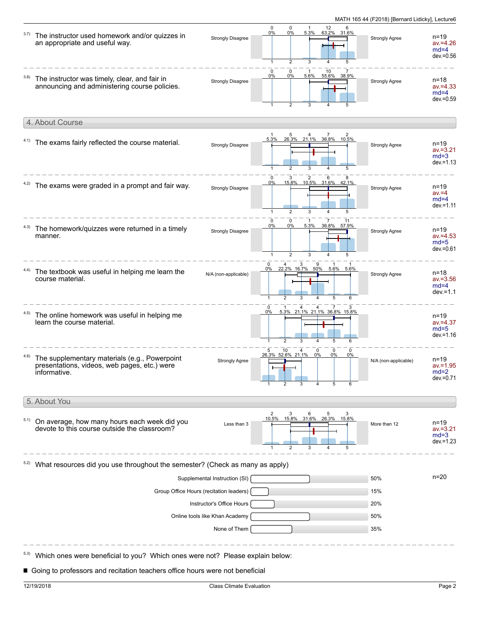| 3.7) | The instructor used homework and/or quizzes in<br>an appropriate and useful way.                              | <b>Strongly Disagree</b>      | $\mathbf 0$<br>$\mathbf 0$<br>12 6<br>63.2% 31.6%<br>$\mathbf{1}$<br>5.3%<br>0%<br>0%<br>$\overline{2}$<br>3<br>5                                         | <b>Strongly Agree</b> | n=19<br>$av = 4.26$<br>$md=4$<br>$dev = 0.56$     |
|------|---------------------------------------------------------------------------------------------------------------|-------------------------------|-----------------------------------------------------------------------------------------------------------------------------------------------------------|-----------------------|---------------------------------------------------|
|      | 3.8) The instructor was timely, clear, and fair in<br>announcing and administering course policies.           | <b>Strongly Disagree</b>      | 0<br>0<br>10 7<br>55.6% 38.9%<br>$0\%$<br>0%<br>5.6%<br>$\overline{2}$<br>3                                                                               | <b>Strongly Agree</b> | n=18<br>$av = 4.33$<br>$md=4$<br>$dev = 0.59$     |
|      | 4. About Course                                                                                               |                               |                                                                                                                                                           |                       |                                                   |
|      | 4.1) The exams fairly reflected the course material.                                                          | <b>Strongly Disagree</b>      | 26.3% 21.1%<br>5.3%<br>36.8% 10.5%<br>5                                                                                                                   | Strongly Agree        | n=19<br>$av = 3.21$<br>$md=3$<br>$dev = 1.13$     |
|      | The exams were graded in a prompt and fair way.                                                               | <b>Strongly Disagree</b>      | 3<br>$\overline{2}$<br>6<br>$\Omega$<br>15.8%<br>10.5% 31.6%<br>42.1%<br>0%                                                                               | <b>Strongly Agree</b> | n=19<br>$av = 4$<br>$md=4$<br>$dev = 1.11$        |
|      | The homework/quizzes were returned in a timely<br>manner.                                                     | <b>Strongly Disagree</b>      | $\mathbf 0$<br>0<br>7<br>11<br>5.3%<br>36.8% 57.9%<br>0%<br>0%<br>$\overline{2}$<br>3                                                                     | <b>Strongly Agree</b> | n=19<br>$av = 4.53$<br>$md=5$<br>$dev = 0.61$     |
| 4.4) | The textbook was useful in helping me learn the<br>course material.                                           | N/A (non-applicable)          | 0<br>4 3 9 1 1<br>22.2% 16.7% 50% 5.6% 5.6%<br>0%<br>$\overline{2}$<br>3<br>5<br>6                                                                        | Strongly Agree        | n=18<br>$av = 3.56$<br>$md=4$<br>$dev = 1.1$      |
| 4.5) | The online homework was useful in helping me<br>learn the course material.                                    |                               | $\begin{array}{cccccc} 1 & 4 & 4 & 7 & 3 \\ 5.3\% & 21.1\% & 21.1\% & 36.8\% & 15.8\% \end{array}$<br>0%<br>$\overline{2}$<br>3<br>$\mathbf{1}$<br>5<br>6 |                       | $n = 19$<br>$av = 4.37$<br>$md=5$<br>$dev = 1.16$ |
| 4.6) | The supplementary materials (e.g., Powerpoint<br>presentations, videos, web pages, etc.) were<br>informative. | <b>Strongly Agree</b>         | $\frac{5}{26.3\%}$ $\frac{10}{52.6\%}$ $\frac{4}{21.1\%}$<br>0<br>0<br>0<br>0%<br>0%<br>0%                                                                | N/A (non-applicable)  | $n = 19$<br>$av = 1.95$<br>$md=2$<br>$dev = 0.71$ |
|      | 5. About You                                                                                                  |                               |                                                                                                                                                           |                       |                                                   |
| 5.1) | On average, how many hours each week did you<br>devote to this course outside the classroom?                  | Less than 3                   | 3<br>6 5 3<br>31.6% 26.3% 15.8%<br>10.5% 15.8%<br>5<br>2                                                                                                  | More than 12          | n=19<br>$av = 3.21$<br>$md=3$<br>$dev = 1.23$     |
| 5.2) | What resources did you use throughout the semester? (Check as many as apply)                                  |                               |                                                                                                                                                           |                       |                                                   |
|      |                                                                                                               | Supplemental Instruction (SI) |                                                                                                                                                           | 50%                   | n=20                                              |
|      | Group Office Hours (recitation leaders)                                                                       | 15%                           |                                                                                                                                                           |                       |                                                   |
|      | Instructor's Office Hours                                                                                     | 20%                           |                                                                                                                                                           |                       |                                                   |
|      | Online tools like Khan Academy                                                                                | 50%                           |                                                                                                                                                           |                       |                                                   |
|      |                                                                                                               | 35%                           |                                                                                                                                                           |                       |                                                   |
|      | Which ones were beneficial to you? Which ones were not? Please explain below:                                 |                               |                                                                                                                                                           |                       |                                                   |

Going to professors and recitation teachers office hours were not beneficial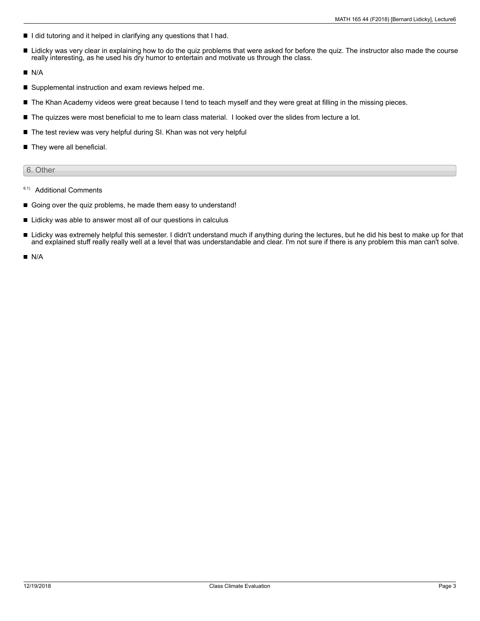- $\blacksquare$  I did tutoring and it helped in clarifying any questions that I had.
- $\blacksquare$ Lidicky was very clear in explaining how to do the quiz problems that were asked for before the quiz. The instructor also made the course really interesting, as he used his dry humor to entertain and motivate us through the class.
- $N/A$
- Supplemental instruction and exam reviews helped me.
- The Khan Academy videos were great because I tend to teach myself and they were great at filling in the missing pieces.
- The quizzes were most beneficial to me to learn class material. I looked over the slides from lecture a lot.
- The test review was very helpful during SI. Khan was not very helpful
- They were all beneficial.

## 6. Other

- <sup>6.1)</sup> Additional Comments
- Going over the quiz problems, he made them easy to understand!
- Lidicky was able to answer most all of our questions in calculus
- Lidicky was extremely helpful this semester. I didn't understand much if anything during the lectures, but he did his best to make up for that and explained stuff really really well at a level that was understandable and clear. I'm not sure if there is any problem this man can't solve.

 $N/A$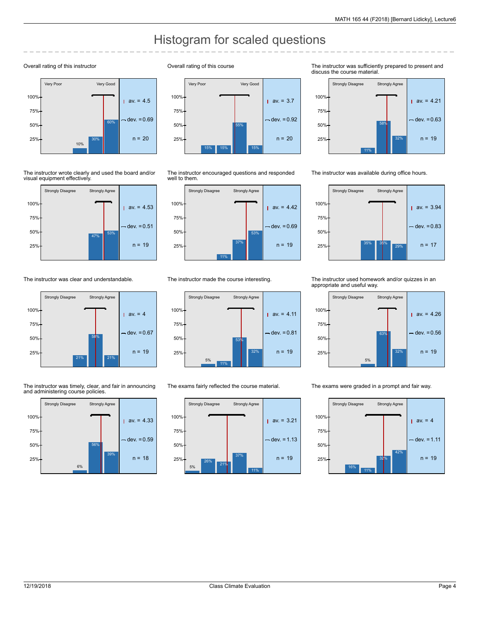## Histogram for scaled questions

## Overall rating of this instructor



The instructor wrote clearly and used the board and/or visual equipment effectively.



The instructor was clear and understandable.



The instructor was timely, clear, and fair in announcing and administering course policies.



Overall rating of this course



The instructor encouraged questions and responded well to them.



The instructor made the course interesting.



The exams fairly reflected the course material.



The instructor was sufficiently prepared to present and discuss the course material.



The instructor was available during office hours.



The instructor used homework and/or quizzes in an appropriate and useful way.



The exams were graded in a prompt and fair way.

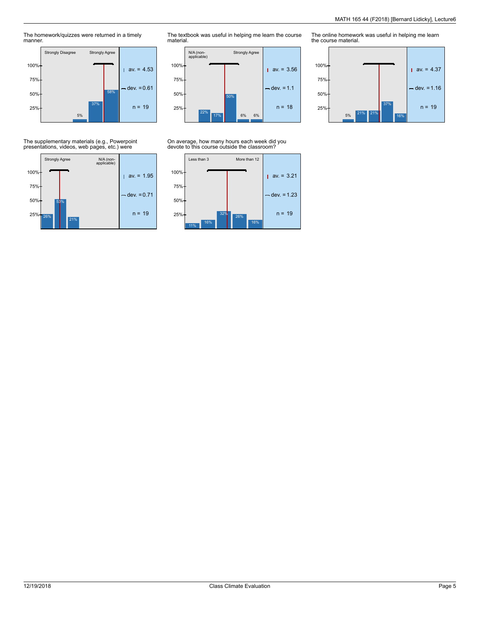The homework/quizzes were returned in a timely manner.



The textbook was useful in helping me learn the course material.



On average, how many hours each week did you devote to this course outside the classroom?



The online homework was useful in helping me learn the course material.



The supplementary materials (e.g., Powerpoint presentations, videos, web pages, etc.) were

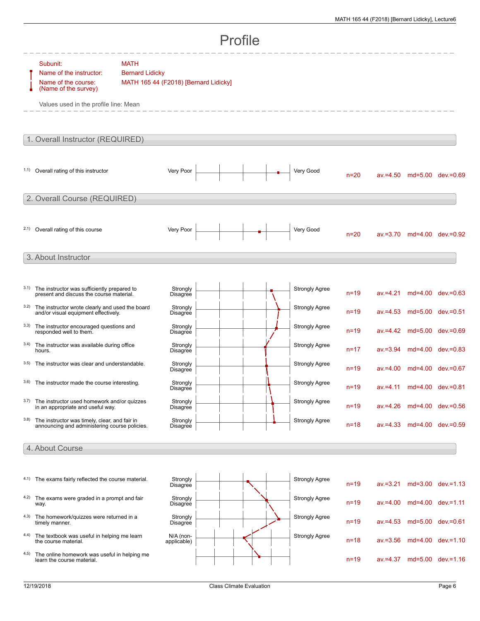| Profile                          |                                                                                                                             |                                                                                |                             |  |  |  |                       |          |             |                            |                            |
|----------------------------------|-----------------------------------------------------------------------------------------------------------------------------|--------------------------------------------------------------------------------|-----------------------------|--|--|--|-----------------------|----------|-------------|----------------------------|----------------------------|
|                                  | Subunit:<br>Name of the instructor:<br>Name of the course:<br>(Name of the survey)<br>Values used in the profile line: Mean | <b>MATH</b><br><b>Bernard Lidicky</b><br>MATH 165 44 (F2018) [Bernard Lidicky] |                             |  |  |  |                       |          |             |                            |                            |
| 1. Overall Instructor (REQUIRED) |                                                                                                                             |                                                                                |                             |  |  |  |                       |          |             |                            |                            |
|                                  | 1.1) Overall rating of this instructor                                                                                      |                                                                                | Very Poor                   |  |  |  | Very Good             | $n=20$   |             |                            | av.=4.50 md=5.00 dev.=0.69 |
| 2. Overall Course (REQUIRED)     |                                                                                                                             |                                                                                |                             |  |  |  |                       |          |             |                            |                            |
|                                  | 2.1) Overall rating of this course                                                                                          |                                                                                | Very Poor                   |  |  |  | Very Good             | $n=20$   |             |                            | av.=3.70 md=4.00 dev.=0.92 |
|                                  | 3. About Instructor                                                                                                         |                                                                                |                             |  |  |  |                       |          |             |                            |                            |
| 3.1)                             | The instructor was sufficiently prepared to<br>present and discuss the course material.                                     |                                                                                | Strongly<br><b>Disagree</b> |  |  |  | <b>Strongly Agree</b> | $n = 19$ | $av = 4.21$ |                            | md=4.00 dev.=0.63          |
| 3.2)                             | The instructor wrote clearly and used the board<br>and/or visual equipment effectively.                                     |                                                                                | Strongly<br>Disagree        |  |  |  | <b>Strongly Agree</b> | $n = 19$ | $av = 4.53$ | md=5.00 dev.=0.51          |                            |
| 3.3)                             | The instructor encouraged questions and<br>responded well to them.                                                          |                                                                                | Strongly<br>Disagree        |  |  |  | <b>Strongly Agree</b> | $n = 19$ |             |                            | av.=4.42 md=5.00 dev.=0.69 |
| 3.4)                             | The instructor was available during office<br>hours.                                                                        |                                                                                | Strongly<br>Disagree        |  |  |  | <b>Strongly Agree</b> | $n = 17$ | $av = 3.94$ |                            | md=4.00 dev.=0.83          |
| 3.5)                             | The instructor was clear and understandable.                                                                                |                                                                                | Strongly<br>Disagree        |  |  |  | <b>Strongly Agree</b> | $n = 19$ |             |                            | av.=4.00 md=4.00 dev.=0.67 |
| 3.6)                             | The instructor made the course interesting.                                                                                 |                                                                                | Strongly<br>Disagree        |  |  |  | <b>Strongly Agree</b> | $n=19$   |             | av.=4.11 md=4.00 dev.=0.81 |                            |
| 3.7)                             | The instructor used homework and/or quizzes<br>in an appropriate and useful way.                                            |                                                                                | Strongly<br>Disagree        |  |  |  | <b>Strongly Agree</b> | $n = 19$ | $av = 4.26$ |                            | md=4.00 dev.=0.56          |
| 3.8)                             | The instructor was timely, clear, and fair in<br>announcing and administering course policies.                              |                                                                                | Strongly<br><b>Disagree</b> |  |  |  | <b>Strongly Agree</b> | $n = 18$ |             |                            | av.=4.33 md=4.00 dev.=0.59 |
|                                  | 4. About Course                                                                                                             |                                                                                |                             |  |  |  |                       |          |             |                            |                            |
|                                  | 4.1) The exams fairly reflected the course material.                                                                        |                                                                                | Strongly<br><b>Disagree</b> |  |  |  | <b>Strongly Agree</b> | $n = 19$ | $av = 3.21$ |                            | md=3.00 dev.=1.13          |
|                                  | 4.2) The exams were graded in a prompt and fair<br>way.                                                                     |                                                                                | Strongly<br><b>Disagree</b> |  |  |  | <b>Strongly Agree</b> | $n = 19$ | $av = 4.00$ |                            | md=4.00 dev.=1.11          |
|                                  | 4.3) The homework/quizzes were returned in a<br>timely manner.                                                              |                                                                                | Strongly<br><b>Disagree</b> |  |  |  | <b>Strongly Agree</b> | $n = 19$ | $av = 4.53$ |                            | md=5.00 dev.=0.61          |
| 4.4)                             | The textbook was useful in helping me learn<br>the course material.                                                         |                                                                                | $N/A$ (non-<br>applicable)  |  |  |  | <b>Strongly Agree</b> | $n = 18$ | $av = 3.56$ |                            | md=4.00 dev.=1.10          |
| 4.5)                             | The online homework was useful in helping me<br>learn the course material.                                                  |                                                                                |                             |  |  |  |                       | $n = 19$ | $av = 4.37$ |                            | md=5.00 dev.=1.16          |